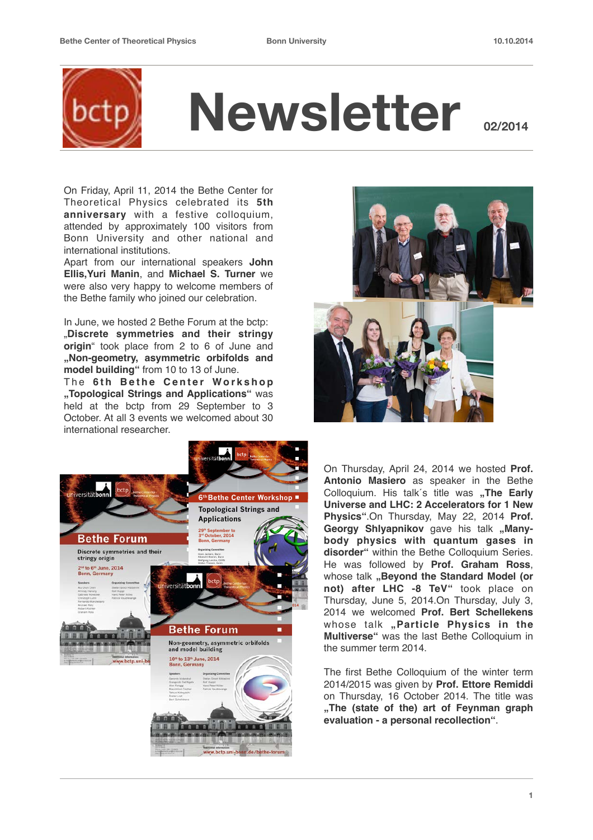

On Friday, April 11, 2014 the Bethe Center for Theoretical Physics celebrated its **5th anniversary** with a festive colloquium, attended by approximately 100 visitors from Bonn University and other national and international institutions.

Apart from our international speakers **John Ellis,Yuri Manin**, and **Michael S. Turner** we were also very happy to welcome members of the Bethe family who joined our celebration.

In June, we hosted 2 Bethe Forum at the bctp: "**Discrete symmetries and their stringy origin**" took place from 2 to 6 of June and **"Non-geometry, asymmetric orbifolds and model building"** from 10 to 13 of June.

The 6th Bethe Center Workshop **"Topological Strings and Applications"** was held at the bctp from 29 September to 3 October. At all 3 events we welcomed about 30 international researcher.





On Thursday, April 24, 2014 we hosted **Prof. Antonio Masiero** as speaker in the Bethe Colloquium. His talk's title was **..The Early Universe and LHC: 2 Accelerators for 1 New Physics"**.On Thursday, May 22, 2014 **Prof.**  Georgy Shlyapnikov gave his talk "Many**body physics with quantum gases in disorder"** within the Bethe Colloquium Series. He was followed by **Prof. Graham Ross**, whose talk **"Beyond the Standard Model (or not) after LHC -8 TeV"** took place on Thursday, June 5, 2014.On Thursday, July 3, 2014 we welcomed **Prof. Bert Schellekens** whose talk "Particle Physics in the **Multiverse"** was the last Bethe Colloquium in the summer term 2014.

The first Bethe Colloquium of the winter term 2014/2015 was given by **Prof. Ettore Remiddi** on Thursday, 16 October 2014. The title was **"The (state of the) art of Feynman graph evaluation - a personal recollection"**.